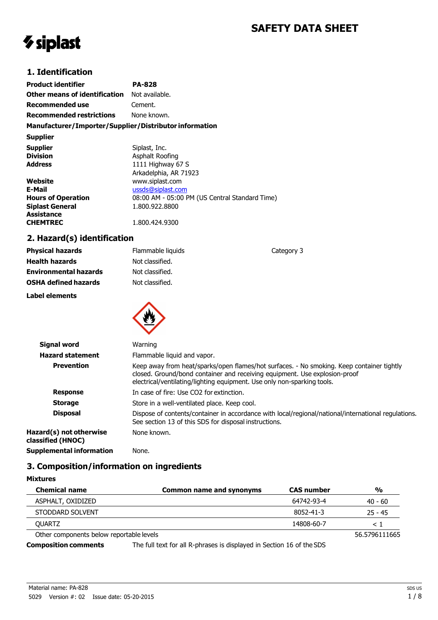# **SAFETY DATA SHEET**

# *V* siplast

### **1. Identification**

| <b>Product identifier</b>                              | PA-828                                         |
|--------------------------------------------------------|------------------------------------------------|
| Other means of identification                          | Not available.                                 |
| Recommended use                                        | Cement.                                        |
| <b>Recommended restrictions</b>                        | None known.                                    |
| Manufacturer/Importer/Supplier/Distributor information |                                                |
| <b>Supplier</b>                                        |                                                |
| <b>Supplier</b>                                        | Siplast, Inc.                                  |
| <b>Division</b>                                        | Asphalt Roofing                                |
| <b>Address</b>                                         | 1111 Highway 67 S                              |
|                                                        | Arkadelphia, AR 71923                          |
| Website                                                | www.siplast.com                                |
| E-Mail                                                 | ussds@siplast.com                              |
| <b>Hours of Operation</b>                              | 08:00 AM - 05:00 PM (US Central Standard Time) |
| <b>Siplast General</b>                                 | 1.800.922.8800                                 |
| Assistance                                             |                                                |
| <b>CHEMTREC</b>                                        | 1.800.424.9300                                 |

# **2. Hazard(s) identification**

| <b>Physical hazards</b>      | Flammable liquids | Category 3 |  |
|------------------------------|-------------------|------------|--|
| <b>Health hazards</b>        | Not classified.   |            |  |
| <b>Environmental hazards</b> | Not classified.   |            |  |
| <b>OSHA defined hazards</b>  | Not classified.   |            |  |
| <b>Label elements</b>        |                   |            |  |
|                              |                   |            |  |

| Signal word                                  | Warning                                                                                                                                                                                                                                            |
|----------------------------------------------|----------------------------------------------------------------------------------------------------------------------------------------------------------------------------------------------------------------------------------------------------|
| <b>Hazard statement</b>                      | Flammable liquid and vapor.                                                                                                                                                                                                                        |
| <b>Prevention</b>                            | Keep away from heat/sparks/open flames/hot surfaces. - No smoking. Keep container tightly<br>closed. Ground/bond container and receiving equipment. Use explosion-proof<br>electrical/ventilating/lighting equipment. Use only non-sparking tools. |
| <b>Response</b>                              | In case of fire: Use CO2 for extinction.                                                                                                                                                                                                           |
| <b>Storage</b>                               | Store in a well-ventilated place. Keep cool.                                                                                                                                                                                                       |
| <b>Disposal</b>                              | Dispose of contents/container in accordance with local/regional/national/international regulations.<br>See section 13 of this SDS for disposal instructions.                                                                                       |
| Hazard(s) not otherwise<br>classified (HNOC) | None known.                                                                                                                                                                                                                                        |
| Supplemental information                     | None.                                                                                                                                                                                                                                              |

### **3. Composition/information on ingredients**

| <b>Mixtures</b> |  |
|-----------------|--|
|-----------------|--|

| <b>Chemical name</b>                     | Common name and synonyms | <b>CAS</b> number | $\frac{0}{0}$ |
|------------------------------------------|--------------------------|-------------------|---------------|
| ASPHALT, OXIDIZED                        |                          | 64742-93-4        | 40 - 60       |
| STODDARD SOLVENT                         |                          | 8052-41-3         | $25 - 45$     |
| <b>OUARTZ</b>                            |                          | 14808-60-7        |               |
| Other components below reportable levels |                          |                   | 56.5796111665 |

**Composition comments** The full text for all R-phrases is displayed in Section 16 of the SDS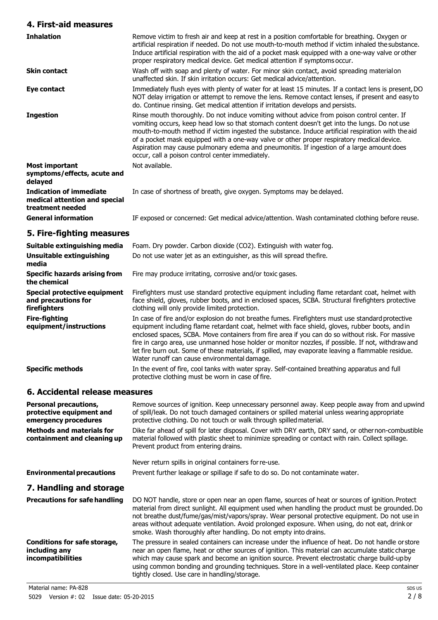#### **4. First-aid measures**

| <b>Inhalation</b>                                                                   | Remove victim to fresh air and keep at rest in a position comfortable for breathing. Oxygen or<br>artificial respiration if needed. Do not use mouth-to-mouth method if victim inhaled the substance.<br>Induce artificial respiration with the aid of a pocket mask equipped with a one-way valve or other<br>proper respiratory medical device. Get medical attention if symptoms occur.                                                                                                                                                         |
|-------------------------------------------------------------------------------------|----------------------------------------------------------------------------------------------------------------------------------------------------------------------------------------------------------------------------------------------------------------------------------------------------------------------------------------------------------------------------------------------------------------------------------------------------------------------------------------------------------------------------------------------------|
| <b>Skin contact</b>                                                                 | Wash off with soap and plenty of water. For minor skin contact, avoid spreading materialon<br>unaffected skin. If skin irritation occurs: Get medical advice/attention.                                                                                                                                                                                                                                                                                                                                                                            |
| Eye contact                                                                         | Immediately flush eyes with plenty of water for at least 15 minutes. If a contact lens is present, DO<br>NOT delay irrigation or attempt to remove the lens. Remove contact lenses, if present and easy to<br>do. Continue rinsing. Get medical attention if irritation develops and persists.                                                                                                                                                                                                                                                     |
| <b>Ingestion</b>                                                                    | Rinse mouth thoroughly. Do not induce vomiting without advice from poison control center. If<br>vomiting occurs, keep head low so that stomach content doesn't get into the lungs. Do not use<br>mouth-to-mouth method if victim ingested the substance. Induce artificial respiration with the aid<br>of a pocket mask equipped with a one-way valve or other proper respiratory medical device.<br>Aspiration may cause pulmonary edema and pneumonitis. If ingestion of a large amount does<br>occur, call a poison control center immediately. |
| Most important<br>symptoms/effects, acute and<br>delayed                            | Not available.                                                                                                                                                                                                                                                                                                                                                                                                                                                                                                                                     |
| <b>Indication of immediate</b><br>medical attention and special<br>treatment needed | In case of shortness of breath, give oxygen. Symptoms may be delayed.                                                                                                                                                                                                                                                                                                                                                                                                                                                                              |
| <b>General information</b>                                                          | IF exposed or concerned: Get medical advice/attention. Wash contaminated clothing before reuse.                                                                                                                                                                                                                                                                                                                                                                                                                                                    |
| 5. Fire-fighting measures                                                           |                                                                                                                                                                                                                                                                                                                                                                                                                                                                                                                                                    |
| Suitable extinguishing media                                                        | Foam. Dry powder. Carbon dioxide (CO2). Extinguish with water fog.                                                                                                                                                                                                                                                                                                                                                                                                                                                                                 |

| Suitable extinguishing media                                               | Foam. Dry powder. Carbon dioxide (CO2). Extinguish with water fog.                                                                                                                                                                                                                                                                                                                                                                                                                                                                                                  |  |
|----------------------------------------------------------------------------|---------------------------------------------------------------------------------------------------------------------------------------------------------------------------------------------------------------------------------------------------------------------------------------------------------------------------------------------------------------------------------------------------------------------------------------------------------------------------------------------------------------------------------------------------------------------|--|
| Unsuitable extinguishing<br>media                                          | Do not use water jet as an extinguisher, as this will spread the fire.                                                                                                                                                                                                                                                                                                                                                                                                                                                                                              |  |
| <b>Specific hazards arising from</b><br>the chemical                       | Fire may produce irritating, corrosive and/or toxic gases.                                                                                                                                                                                                                                                                                                                                                                                                                                                                                                          |  |
| <b>Special protective equipment</b><br>and precautions for<br>firefighters | Firefighters must use standard protective equipment including flame retardant coat, helmet with<br>face shield, gloves, rubber boots, and in enclosed spaces, SCBA. Structural firefighters protective<br>clothing will only provide limited protection.                                                                                                                                                                                                                                                                                                            |  |
| <b>Fire-fighting</b><br>equipment/instructions                             | In case of fire and/or explosion do not breathe fumes. Firefighters must use standard protective<br>equipment including flame retardant coat, helmet with face shield, gloves, rubber boots, and in<br>enclosed spaces, SCBA. Move containers from fire area if you can do so without risk. For massive<br>fire in cargo area, use unmanned hose holder or monitor nozzles, if possible. If not, withdraw and<br>let fire burn out. Some of these materials, if spilled, may evaporate leaving a flammable residue.<br>Water runoff can cause environmental damage. |  |
| <b>Specific methods</b>                                                    | In the event of fire, cool tanks with water spray. Self-contained breathing apparatus and full<br>protective clothing must be worn in case of fire.                                                                                                                                                                                                                                                                                                                                                                                                                 |  |

# **6. Accidental release measures**

| <b>Personal precautions,</b><br>protective equipment and<br>emergency procedures | Remove sources of ignition. Keep unnecessary personnel away. Keep people away from and upwind<br>of spill/leak. Do not touch damaged containers or spilled material unless wearing appropriate<br>protective clothing. Do not touch or walk through spilled material.                                                                                                                                                                                                        |
|----------------------------------------------------------------------------------|------------------------------------------------------------------------------------------------------------------------------------------------------------------------------------------------------------------------------------------------------------------------------------------------------------------------------------------------------------------------------------------------------------------------------------------------------------------------------|
| <b>Methods and materials for</b><br>containment and cleaning up                  | Dike far ahead of spill for later disposal. Cover with DRY earth, DRY sand, or other non-combustible<br>material followed with plastic sheet to minimize spreading or contact with rain. Collect spillage.<br>Prevent product from entering drains.                                                                                                                                                                                                                          |
|                                                                                  | Never return spills in original containers for re-use.                                                                                                                                                                                                                                                                                                                                                                                                                       |
| <b>Environmental precautions</b>                                                 | Prevent further leakage or spillage if safe to do so. Do not contaminate water.                                                                                                                                                                                                                                                                                                                                                                                              |
| 7. Handling and storage                                                          |                                                                                                                                                                                                                                                                                                                                                                                                                                                                              |
| <b>Precautions for safe handling</b>                                             | DO NOT handle, store or open near an open flame, sources of heat or sources of ignition. Protect<br>material from direct sunlight. All equipment used when handling the product must be grounded. Do<br>not breathe dust/fume/gas/mist/vapors/spray. Wear personal protective equipment. Do not use in<br>areas without adequate ventilation. Avoid prolonged exposure. When using, do not eat, drink or<br>smoke. Wash thoroughly after handling. Do not empty into drains. |
| Conditions for safe storage,<br>including any<br><i>incompatibilities</i>        | The pressure in sealed containers can increase under the influence of heat. Do not handle orstore<br>near an open flame, heat or other sources of ignition. This material can accumulate static charge<br>which may cause spark and become an ignition source. Prevent electrostatic charge build-up by<br>using common bonding and grounding techniques. Store in a well-ventilated place. Keep container<br>tightly closed. Use care in handling/storage.                  |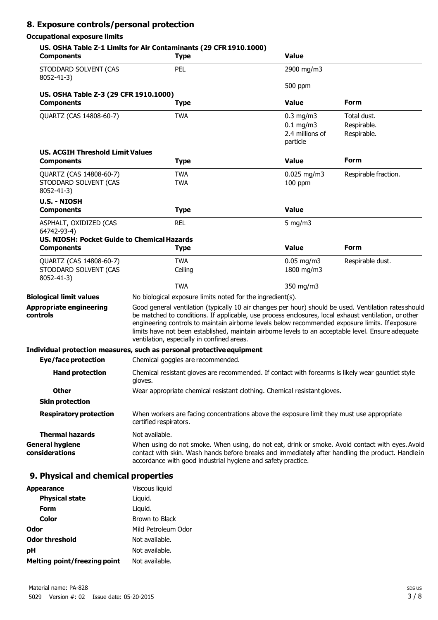# **8. Exposure controls/personal protection**

#### **Occupational exposure limits**

| <b>Components</b>                                                       | US. OSHA Table Z-1 Limits for Air Contaminants (29 CFR 1910.1000)<br><b>Type</b>                                                                                                                                                                                                                                                                                                                                                                                     | <b>Value</b>                                                 |                                           |
|-------------------------------------------------------------------------|----------------------------------------------------------------------------------------------------------------------------------------------------------------------------------------------------------------------------------------------------------------------------------------------------------------------------------------------------------------------------------------------------------------------------------------------------------------------|--------------------------------------------------------------|-------------------------------------------|
| STODDARD SOLVENT (CAS<br>8052-41-3)                                     | PEL                                                                                                                                                                                                                                                                                                                                                                                                                                                                  | 2900 mg/m3                                                   |                                           |
|                                                                         |                                                                                                                                                                                                                                                                                                                                                                                                                                                                      | 500 ppm                                                      |                                           |
| US. OSHA Table Z-3 (29 CFR 1910.1000)<br><b>Components</b>              |                                                                                                                                                                                                                                                                                                                                                                                                                                                                      | <b>Value</b>                                                 | Form                                      |
|                                                                         | Type                                                                                                                                                                                                                                                                                                                                                                                                                                                                 |                                                              |                                           |
| QUARTZ (CAS 14808-60-7)                                                 | <b>TWA</b>                                                                                                                                                                                                                                                                                                                                                                                                                                                           | $0.3$ mg/m $3$<br>$0.1$ mg/m3<br>2.4 millions of<br>particle | Total dust.<br>Respirable.<br>Respirable. |
| <b>US. ACGIH Threshold Limit Values</b><br><b>Components</b>            | <b>Type</b>                                                                                                                                                                                                                                                                                                                                                                                                                                                          | <b>Value</b>                                                 | <b>Form</b>                               |
| QUARTZ (CAS 14808-60-7)                                                 | <b>TWA</b>                                                                                                                                                                                                                                                                                                                                                                                                                                                           | $0.025$ mg/m3                                                | Respirable fraction.                      |
| STODDARD SOLVENT (CAS<br>8052-41-3)                                     | <b>TWA</b>                                                                                                                                                                                                                                                                                                                                                                                                                                                           | $100$ ppm                                                    |                                           |
| <b>U.S. - NIOSH</b><br><b>Components</b>                                | <b>Type</b>                                                                                                                                                                                                                                                                                                                                                                                                                                                          | <b>Value</b>                                                 |                                           |
| ASPHALT, OXIDIZED (CAS<br>64742-93-4)                                   | <b>REL</b>                                                                                                                                                                                                                                                                                                                                                                                                                                                           | 5 mg/m $3$                                                   |                                           |
| <b>US. NIOSH: Pocket Guide to Chemical Hazards</b><br><b>Components</b> | <b>Type</b>                                                                                                                                                                                                                                                                                                                                                                                                                                                          | <b>Value</b>                                                 | <b>Form</b>                               |
| QUARTZ (CAS 14808-60-7)                                                 | <b>TWA</b>                                                                                                                                                                                                                                                                                                                                                                                                                                                           | $0.05$ mg/m3                                                 | Respirable dust.                          |
| STODDARD SOLVENT (CAS<br>8052-41-3)                                     | Ceiling                                                                                                                                                                                                                                                                                                                                                                                                                                                              | 1800 mg/m3                                                   |                                           |
|                                                                         | <b>TWA</b>                                                                                                                                                                                                                                                                                                                                                                                                                                                           | 350 mg/m3                                                    |                                           |
| <b>Biological limit values</b>                                          | No biological exposure limits noted for the ingredient(s).                                                                                                                                                                                                                                                                                                                                                                                                           |                                                              |                                           |
| <b>Appropriate engineering</b><br>controls                              | Good general ventilation (typically 10 air changes per hour) should be used. Ventilation rates should<br>be matched to conditions. If applicable, use process enclosures, local exhaust ventilation, or other<br>engineering controls to maintain airborne levels below recommended exposure limits. If exposure<br>limits have not been established, maintain airborne levels to an acceptable level. Ensure adequate<br>ventilation, especially in confined areas. |                                                              |                                           |
|                                                                         | Individual protection measures, such as personal protective equipment                                                                                                                                                                                                                                                                                                                                                                                                |                                                              |                                           |
| <b>Eye/face protection</b>                                              | Chemical goggles are recommended.                                                                                                                                                                                                                                                                                                                                                                                                                                    |                                                              |                                           |
| <b>Hand protection</b>                                                  | Chemical resistant gloves are recommended. If contact with forearms is likely wear gauntlet style<br>gloves.                                                                                                                                                                                                                                                                                                                                                         |                                                              |                                           |
| <b>Other</b>                                                            | Wear appropriate chemical resistant clothing. Chemical resistant gloves.                                                                                                                                                                                                                                                                                                                                                                                             |                                                              |                                           |
| <b>Skin protection</b>                                                  |                                                                                                                                                                                                                                                                                                                                                                                                                                                                      |                                                              |                                           |
| <b>Respiratory protection</b>                                           | When workers are facing concentrations above the exposure limit they must use appropriate<br>certified respirators.                                                                                                                                                                                                                                                                                                                                                  |                                                              |                                           |
| <b>Thermal hazards</b>                                                  | Not available.                                                                                                                                                                                                                                                                                                                                                                                                                                                       |                                                              |                                           |
| <b>General hygiene</b><br>considerations                                | When using do not smoke. When using, do not eat, drink or smoke. Avoid contact with eyes. Avoid<br>contact with skin. Wash hands before breaks and immediately after handling the product. Handle in<br>accordance with good industrial hygiene and safety practice.                                                                                                                                                                                                 |                                                              |                                           |
| 9. Physical and chemical properties                                     |                                                                                                                                                                                                                                                                                                                                                                                                                                                                      |                                                              |                                           |
| <b>Appearance</b>                                                       | Viscous liquid                                                                                                                                                                                                                                                                                                                                                                                                                                                       |                                                              |                                           |
| <b>Physical state</b>                                                   | Liquid.                                                                                                                                                                                                                                                                                                                                                                                                                                                              |                                                              |                                           |
| <b>Form</b>                                                             | Liquid.                                                                                                                                                                                                                                                                                                                                                                                                                                                              |                                                              |                                           |
| <b>Color</b>                                                            | Brown to Black                                                                                                                                                                                                                                                                                                                                                                                                                                                       |                                                              |                                           |

**Odor** Mild Petroleum Odor

**Odor threshold** Not available. **pH** Not available. **Melting point/freezing point** Not available.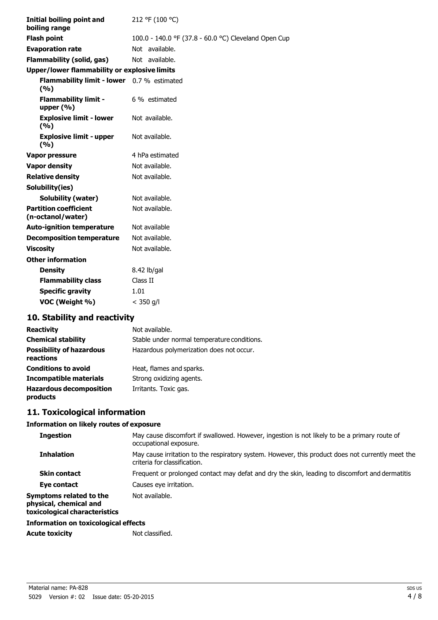| <b>Initial boiling point and</b><br>boiling range   | 212 °F (100 °C)                                      |
|-----------------------------------------------------|------------------------------------------------------|
| <b>Flash point</b>                                  | 100.0 - 140.0 °F (37.8 - 60.0 °C) Cleveland Open Cup |
| <b>Evaporation rate</b>                             | Not available.                                       |
| <b>Flammability (solid, gas)</b>                    | Not available.                                       |
| <b>Upper/lower flammability or explosive limits</b> |                                                      |
| Flammability limit - lower 0.7 % estimated<br>(%)   |                                                      |
| <b>Flammability limit -</b><br>upper $(% )$         | 6 % estimated                                        |
| <b>Explosive limit - lower</b><br>(%)               | Not available.                                       |
| <b>Explosive limit - upper</b><br>(9/0)             | Not available.                                       |
| <b>Vapor pressure</b>                               | 4 hPa estimated                                      |
| <b>Vapor density</b>                                | Not available.                                       |
| <b>Relative density</b>                             | Not available.                                       |
| Solubility(ies)                                     |                                                      |
| <b>Solubility (water)</b>                           | Not available.                                       |
| <b>Partition coefficient</b><br>(n-octanol/water)   | Not available.                                       |
| <b>Auto-ignition temperature</b>                    | Not available                                        |
| <b>Decomposition temperature</b>                    | Not available.                                       |
| <b>Viscosity</b>                                    | Not available.                                       |
| <b>Other information</b>                            |                                                      |
| <b>Density</b>                                      | 8.42 lb/gal                                          |
| <b>Flammability class</b>                           | Class II                                             |
| <b>Specific gravity</b>                             | 1.01                                                 |
| VOC (Weight %)                                      | $<$ 350 g/l                                          |

# **10. Stability and reactivity**

| <b>Reactivity</b>                            | Not available.                              |
|----------------------------------------------|---------------------------------------------|
| <b>Chemical stability</b>                    | Stable under normal temperature conditions. |
| <b>Possibility of hazardous</b><br>reactions | Hazardous polymerization does not occur.    |
| <b>Conditions to avoid</b>                   | Heat, flames and sparks.                    |
| <b>Incompatible materials</b>                | Strong oxidizing agents.                    |
| <b>Hazardous decomposition</b><br>products   | Irritants. Toxic gas.                       |

# **11. Toxicological information**

#### **Information on likely routes of exposure**

| <b>Ingestion</b>                                                                   | May cause discomfort if swallowed. However, ingestion is not likely to be a primary route of<br>occupational exposure.            |
|------------------------------------------------------------------------------------|-----------------------------------------------------------------------------------------------------------------------------------|
| <b>Inhalation</b>                                                                  | May cause irritation to the respiratory system. However, this product does not currently meet the<br>criteria for classification. |
| <b>Skin contact</b>                                                                | Frequent or prolonged contact may defat and dry the skin, leading to discomfort and dermatitis                                    |
| Eye contact                                                                        | Causes eye irritation.                                                                                                            |
| Symptoms related to the<br>physical, chemical and<br>toxicological characteristics | Not available.                                                                                                                    |
| Information on toxicological effects                                               |                                                                                                                                   |

Acute toxicity **Not classified.**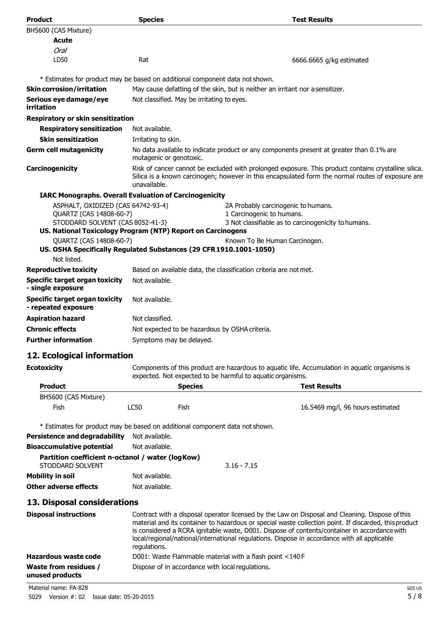| <b>Product</b>                                                                                | <b>Species</b>                                                                | <b>Test Results</b>                                                                                                                                                                                       |
|-----------------------------------------------------------------------------------------------|-------------------------------------------------------------------------------|-----------------------------------------------------------------------------------------------------------------------------------------------------------------------------------------------------------|
| BH5600 (CAS Mixture)                                                                          |                                                                               |                                                                                                                                                                                                           |
| Acute                                                                                         |                                                                               |                                                                                                                                                                                                           |
| Oral                                                                                          |                                                                               |                                                                                                                                                                                                           |
| LD50                                                                                          | Rat                                                                           | 6666.6665 g/kg estimated                                                                                                                                                                                  |
|                                                                                               | * Estimates for product may be based on additional component data not shown.  |                                                                                                                                                                                                           |
| <b>Skin corrosion/irritation</b>                                                              | May cause defatting of the skin, but is neither an irritant nor a sensitizer. |                                                                                                                                                                                                           |
| Serious eye damage/eye<br>irritation                                                          | Not classified. May be irritating to eyes.                                    |                                                                                                                                                                                                           |
| <b>Respiratory or skin sensitization</b>                                                      |                                                                               |                                                                                                                                                                                                           |
| <b>Respiratory sensitization</b>                                                              | Not available.                                                                |                                                                                                                                                                                                           |
| <b>Skin sensitization</b>                                                                     | Irritating to skin.                                                           |                                                                                                                                                                                                           |
| <b>Germ cell mutagenicity</b>                                                                 | mutagenic or genotoxic.                                                       | No data available to indicate product or any components present at greater than 0.1% are                                                                                                                  |
| Carcinogenicity                                                                               | unavailable.                                                                  | Risk of cancer cannot be excluded with prolonged exposure. This product contains crystalline silica.<br>Silica is a known carcinogen; however in this encapsulated form the normal routes of exposure are |
|                                                                                               | <b>IARC Monographs. Overall Evaluation of Carcinogenicity</b>                 |                                                                                                                                                                                                           |
| ASPHALT, OXIDIZED (CAS 64742-93-4)<br>QUARTZ (CAS 14808-60-7)                                 |                                                                               | 2A Probably carcinogenic to humans.<br>1 Carcinogenic to humans.                                                                                                                                          |
| STODDARD SOLVENT (CAS 8052-41-3)                                                              |                                                                               | 3 Not classifiable as to carcinogenicity to humans.                                                                                                                                                       |
|                                                                                               | US. National Toxicology Program (NTP) Report on Carcinogens                   |                                                                                                                                                                                                           |
| QUARTZ (CAS 14808-60-7)<br>US. OSHA Specifically Regulated Substances (29 CFR 1910.1001-1050) |                                                                               | Known To Be Human Carcinogen.                                                                                                                                                                             |
| Not listed.                                                                                   |                                                                               |                                                                                                                                                                                                           |
| <b>Reproductive toxicity</b>                                                                  |                                                                               | Based on available data, the classification criteria are not met.                                                                                                                                         |
| <b>Specific target organ toxicity</b><br>- single exposure                                    | Not available.                                                                |                                                                                                                                                                                                           |
| <b>Specific target organ toxicity</b><br>- repeated exposure                                  | Not available.                                                                |                                                                                                                                                                                                           |
| <b>Aspiration hazard</b>                                                                      | Not classified.                                                               |                                                                                                                                                                                                           |
| <b>Chronic effects</b>                                                                        | Not expected to be hazardous by OSHA criteria.                                |                                                                                                                                                                                                           |
| <b>Further information</b>                                                                    | Symptoms may be delayed.                                                      |                                                                                                                                                                                                           |
| 12. Ecological information                                                                    |                                                                               |                                                                                                                                                                                                           |

**Ecotoxicity Components of this product are hazardous to aquatic life. Accumulation in aquatic organisms is** expected. Not expected to be harmful to aquatic organisms.

| <b>Product</b>       |      | <b>Species</b> | <b>Test Results</b>              |
|----------------------|------|----------------|----------------------------------|
| BH5600 (CAS Mixture) |      |                |                                  |
| Fish                 | LC50 | Fish           | 16.5469 mg/l, 96 hours estimated |

\* Estimates for product may be based on additional component data not shown.

| Persistence and degradability                     | Not available. |               |
|---------------------------------------------------|----------------|---------------|
| <b>Bioaccumulative potential</b>                  | Not available. |               |
| Partition coefficient n-octanol / water (log Kow) |                |               |
| STODDARD SOLVENT                                  |                | $3.16 - 7.15$ |
| Mobility in soil                                  | Not available. |               |
| Other adverse effects                             | Not available. |               |

#### **13. Disposal considerations**

| <b>Disposal instructions</b>                    | Contract with a disposal operator licensed by the Law on Disposal and Cleaning. Dispose of this<br>material and its container to hazardous or special waste collection point. If discarded, this product<br>is considered a RCRA ignitable waste, D001. Dispose of contents/container in accordance with<br>local/regional/national/international regulations. Dispose in accordance with all applicable<br>regulations. |
|-------------------------------------------------|--------------------------------------------------------------------------------------------------------------------------------------------------------------------------------------------------------------------------------------------------------------------------------------------------------------------------------------------------------------------------------------------------------------------------|
| Hazardous waste code                            | D001: Waste Flammable material with a flash point <140 F                                                                                                                                                                                                                                                                                                                                                                 |
| <b>Waste from residues /</b><br>unused products | Dispose of in accordance with local regulations.                                                                                                                                                                                                                                                                                                                                                                         |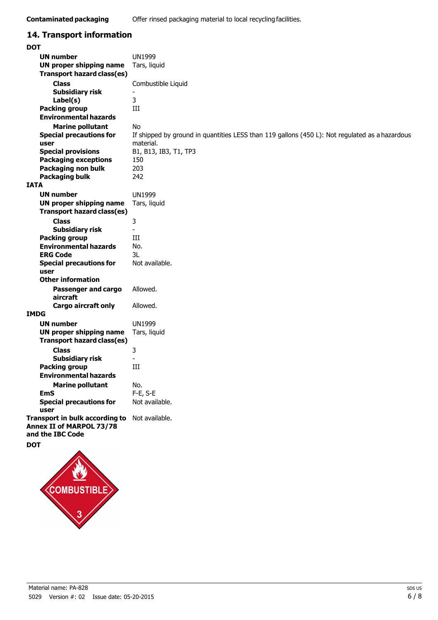#### **14. Transport information DOT UN number UN proper shipping name Transport hazard class(es) Class Subsidiary risk Label(s) Packing group Environmental hazards Marine pollutant Special precautions for user Special provisions Packaging exceptions Packaging non bulk Packaging bulk IATA UN number UN proper shipping name Transport hazard class(es) Class Subsidiary risk Packing group Environmental hazards ERG Code Special precautions for user Other information Passenger and cargo aircraft Cargo aircraft only** UN1999 Tars, liquid Combustible Liquid - 3 III No If shipped by ground in quantities LESS than 119 gallons (450 L): Not regulated as a hazardous material. B1, B13, IB3, T1, TP3 150 203 242 UN1999 Tars, liquid 3 - III No. 3L Not available. Allowed. Allowed. **IMDG UN number UN proper shipping name Transport hazard class(es) Class Subsidiary risk Packing group Environmental hazards Marine pollutant EmS Special precautions for user Transport in bulk according to** Not available. **Annex II of MARPOL 73/78 and the IBC Code DOT** UN1999 Tars, liquid 3 - III No. F-E, S-E Not available.

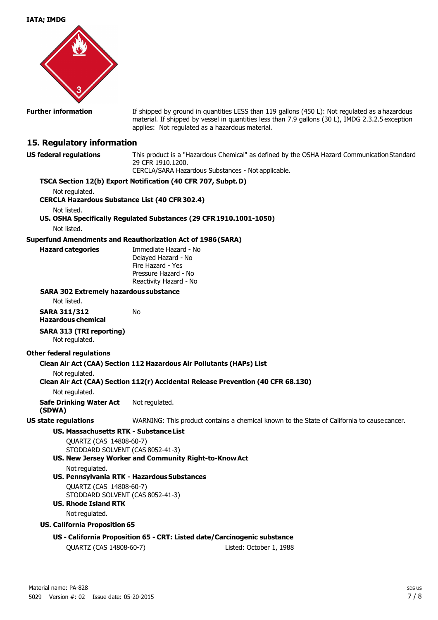

**Further information** If shipped by ground in quantities LESS than 119 gallons (450 L): Not regulated as a hazardous material. If shipped by vessel in quantities less than 7.9 gallons (30 L), IMDG 2.3.2.5 exception applies: Not regulated as a hazardous material.

#### **15. Regulatory information**

**US federal regulations** This product is a "Hazardous Chemical" as defined by the OSHA Hazard Communication Standard 29 CFR 1910.1200.

CERCLA/SARA Hazardous Substances - Not applicable. **TSCA Section 12(b) Export Notification (40 CFR 707, Subpt. D)** Not regulated. **CERCLA Hazardous Substance List (40 CFR 302.4)** Not listed. **US. OSHA Specifically Regulated Substances (29 CFR 1910.1001-1050)** Not listed. **Superfund Amendments and Reauthorization Act of 1986 (SARA) Hazard categories** Immediate Hazard - No Delayed Hazard - No Fire Hazard - Yes Pressure Hazard - No Reactivity Hazard - No **SARA 302 Extremely hazardous substance** Not listed. **SARA 311/312** No **Hazardous chemical SARA 313 (TRI reporting)** Not regulated. **Other federal regulations Clean Air Act (CAA) Section 112 Hazardous Air Pollutants (HAPs) List** Not regulated. **Clean Air Act (CAA) Section 112(r) Accidental Release Prevention (40 CFR 68.130)** Not regulated. **Safe Drinking Water Act (SDWA)** Not regulated. **US state regulations** WARNING: This product contains a chemical known to the State of California to cause cancer. **US. Massachusetts RTK - Substance List** QUARTZ (CAS 14808-60-7) STODDARD SOLVENT (CAS 8052-41-3) **US. New Jersey Worker and Community Right-to-Know Act** Not regulated. **US. Pennsylvania RTK - Hazardous Substances** QUARTZ (CAS 14808-60-7) STODDARD SOLVENT (CAS 8052-41-3) **US. Rhode Island RTK** Not regulated. **US. California Proposition 65**

#### **US - California Proposition 65 - CRT: Listed date/Carcinogenic substance**

QUARTZ (CAS 14808-60-7) Listed: October 1, 1988